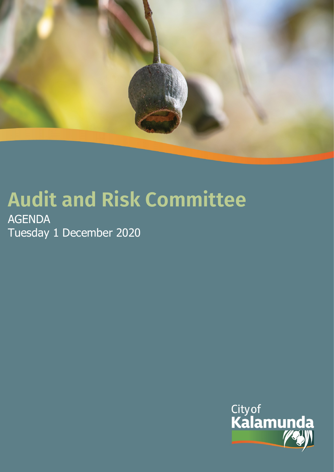

# **Audit and Risk Committee**

AGENDA Tuesday 1 December 2020

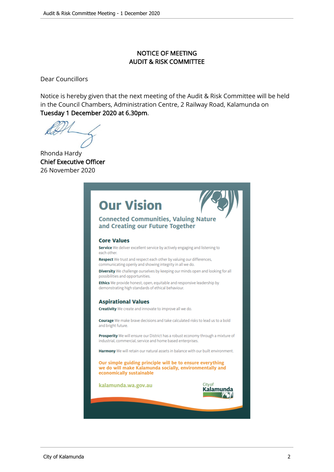#### NOTICE OF MEETING AUDIT & RISK COMMITTEE

Dear Councillors

Notice is hereby given that the next meeting of the Audit & Risk Committee will be held in the Council Chambers, Administration Centre, 2 Railway Road, Kalamunda on Tuesday 1 December 2020 at 6.30pm.

Rhonda Hardy Chief Executive Officer 26 November 2020

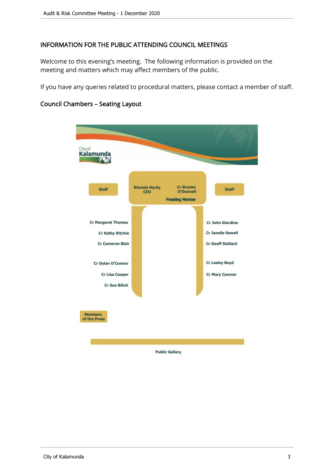#### INFORMATION FOR THE PUBLIC ATTENDING COUNCIL MEETINGS

Welcome to this evening's meeting. The following information is provided on the meeting and matters which may affect members of the public.

If you have any queries related to procedural matters, please contact a member of staff.



#### Council Chambers – Seating Layout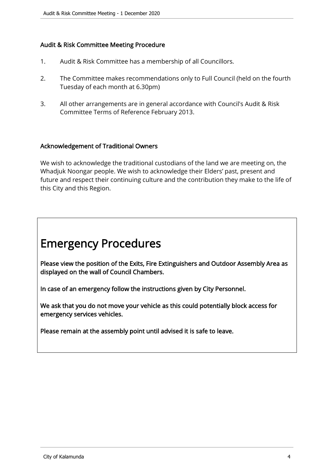#### Audit & Risk Committee Meeting Procedure

- 1. Audit & Risk Committee has a membership of all Councillors.
- 2. The Committee makes recommendations only to Full Council (held on the fourth Tuesday of each month at 6.30pm)
- 3. All other arrangements are in general accordance with Council's Audit & Risk Committee Terms of Reference February 2013.

#### Acknowledgement of Traditional Owners

We wish to acknowledge the traditional custodians of the land we are meeting on, the Whadjuk Noongar people. We wish to acknowledge their Elders' past, present and future and respect their continuing culture and the contribution they make to the life of this City and this Region.

## Emergency Procedures

Please view the position of the Exits, Fire Extinguishers and Outdoor Assembly Area as displayed on the wall of Council Chambers.

In case of an emergency follow the instructions given by City Personnel.

We ask that you do not move your vehicle as this could potentially block access for emergency services vehicles.

Please remain at the assembly point until advised it is safe to leave.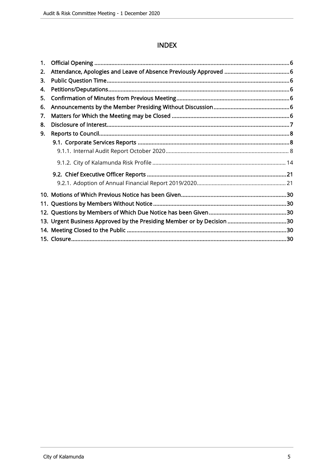#### **INDEX**

| 1. |                                                                        |  |
|----|------------------------------------------------------------------------|--|
| 2. |                                                                        |  |
| 3. |                                                                        |  |
| 4. |                                                                        |  |
| 5. |                                                                        |  |
| 6. |                                                                        |  |
| 7. |                                                                        |  |
| 8. |                                                                        |  |
| 9. |                                                                        |  |
|    |                                                                        |  |
|    |                                                                        |  |
|    |                                                                        |  |
|    |                                                                        |  |
|    |                                                                        |  |
|    |                                                                        |  |
|    |                                                                        |  |
|    |                                                                        |  |
|    | 13. Urgent Business Approved by the Presiding Member or by Decision 30 |  |
|    |                                                                        |  |
|    |                                                                        |  |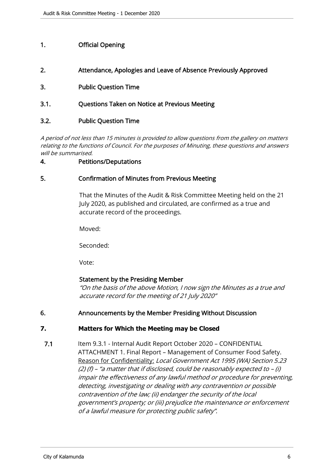#### <span id="page-5-0"></span>1. Official Opening

- 2. Attendance, Apologies and Leave of Absence Previously Approved
- 3. Public Question Time
- 3.1. Questions Taken on Notice at Previous Meeting

#### 3.2. Public Question Time

A period of not less than 15 minutes is provided to allow questions from the gallery on matters relating to the functions of Council. For the purposes of Minuting, these questions and answers will be summarised.

#### 4. Petitions/Deputations

#### 5. Confirmation of Minutes from Previous Meeting

That the Minutes of the Audit & Risk Committee Meeting held on the 21 July 2020, as published and circulated, are confirmed as a true and accurate record of the proceedings.

Moved:

Seconded:

Vote:

#### Statement by the Presiding Member

"On the basis of the above Motion, I now sign the Minutes as a true and accurate record for the meeting of 21 July 2020"

#### 6. Announcements by the Member Presiding Without Discussion

#### **7. Matters for Which the Meeting may be Closed**

7.1 Item 9.3.1 - Internal Audit Report October 2020 - CONFIDENTIAL ATTACHMENT 1. Final Report – Management of Consumer Food Safety. Reason for Confidentiality: Local Government Act 1995 (WA) Section 5.23 (2) (f) – "a matter that if disclosed, could be reasonably expected to – (i) impair the effectiveness of any lawful method or procedure for preventing, detecting, investigating or dealing with any contravention or possible contravention of the law; (ii) endanger the security of the local government's property; or (iii) prejudice the maintenance or enforcement of a lawful measure for protecting public safety".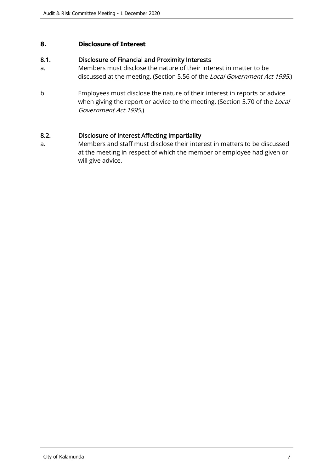#### <span id="page-6-0"></span>**8. Disclosure of Interest**

#### 8.1. Disclosure of Financial and Proximity Interests

- a. Members must disclose the nature of their interest in matter to be discussed at the meeting. (Section 5.56 of the Local Government Act 1995.)
- b. Employees must disclose the nature of their interest in reports or advice when giving the report or advice to the meeting. (Section 5.70 of the Local Government Act 1995.)

#### 8.2. Disclosure of Interest Affecting Impartiality

a. Members and staff must disclose their interest in matters to be discussed at the meeting in respect of which the member or employee had given or will give advice.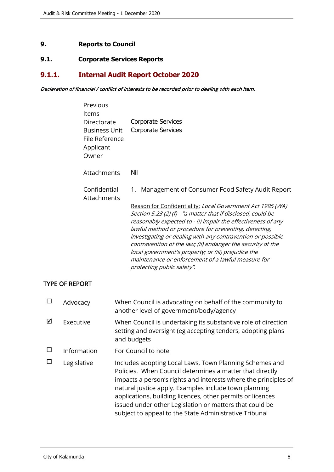#### <span id="page-7-0"></span>**9. Reports to Council**

#### **9.1. Corporate Services Reports**

### **9.1.1. Internal Audit Report October 2020**

#### Declaration of financial / conflict of interests to be recorded prior to dealing with each item.

| Previous<br>Items<br>Directorate<br>Business Unit<br>File Reference<br>Applicant<br>Owner | <b>Corporate Services</b><br><b>Corporate Services</b>                                                                                                                                                                                                                                                                                                                                                                                                                                                                                                                                |
|-------------------------------------------------------------------------------------------|---------------------------------------------------------------------------------------------------------------------------------------------------------------------------------------------------------------------------------------------------------------------------------------------------------------------------------------------------------------------------------------------------------------------------------------------------------------------------------------------------------------------------------------------------------------------------------------|
| Attachments                                                                               | Nil                                                                                                                                                                                                                                                                                                                                                                                                                                                                                                                                                                                   |
| Confidential<br>Attachments                                                               | Management of Consumer Food Safety Audit Report<br>1.<br>Reason for Confidentiality: Local Government Act 1995 (WA)<br>Section 5.23 (2) (f) - "a matter that if disclosed, could be<br>reasonably expected to - (i) impair the effectiveness of any<br>lawful method or procedure for preventing, detecting,<br>investigating or dealing with any contravention or possible<br>contravention of the law; (ii) endanger the security of the<br>local government's property; or (iii) prejudice the<br>maintenance or enforcement of a lawful measure for<br>protecting public safety". |

#### TYPE OF REPORT

| П      | Advocacy    | When Council is advocating on behalf of the community to<br>another level of government/body/agency                                                                                                                                                                                                                                                                                                                                |
|--------|-------------|------------------------------------------------------------------------------------------------------------------------------------------------------------------------------------------------------------------------------------------------------------------------------------------------------------------------------------------------------------------------------------------------------------------------------------|
| ☑      | Executive   | When Council is undertaking its substantive role of direction<br>setting and oversight (eg accepting tenders, adopting plans<br>and budgets                                                                                                                                                                                                                                                                                        |
| $\Box$ | Information | For Council to note                                                                                                                                                                                                                                                                                                                                                                                                                |
|        | Legislative | Includes adopting Local Laws, Town Planning Schemes and<br>Policies. When Council determines a matter that directly<br>impacts a person's rights and interests where the principles of<br>natural justice apply. Examples include town planning<br>applications, building licences, other permits or licences<br>issued under other Legislation or matters that could be<br>subject to appeal to the State Administrative Tribunal |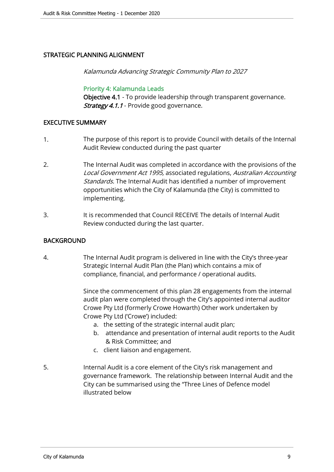#### STRATEGIC PLANNING ALIGNMENT

Kalamunda Advancing Strategic Community Plan to 2027

#### Priority 4: Kalamunda Leads

Objective 4.1 - To provide leadership through transparent governance. **Strategy 4.1.1** - Provide good governance.

#### EXECUTIVE SUMMARY

- 1. The purpose of this report is to provide Council with details of the Internal Audit Review conducted during the past quarter
- 2. The Internal Audit was completed in accordance with the provisions of the Local Government Act 1995, associated regulations, Australian Accounting Standards. The Internal Audit has identified a number of improvement opportunities which the City of Kalamunda (the City) is committed to implementing.
- 3. It is recommended that Council RECEIVE The details of Internal Audit Review conducted during the last quarter.

#### BACKGROUND

4. The Internal Audit program is delivered in line with the City's three-year Strategic Internal Audit Plan (the Plan) which contains a mix of compliance, financial, and performance / operational audits.

> Since the commencement of this plan 28 engagements from the internal audit plan were completed through the City's appointed internal auditor Crowe Pty Ltd (formerly Crowe Howarth) Other work undertaken by Crowe Pty Ltd ('Crowe') included:

- a. the setting of the strategic internal audit plan;
- b. attendance and presentation of internal audit reports to the Audit & Risk Committee; and
- c. client liaison and engagement.
- 5. Internal Audit is a core element of the City's risk management and governance framework. The relationship between Internal Audit and the City can be summarised using the "Three Lines of Defence model illustrated below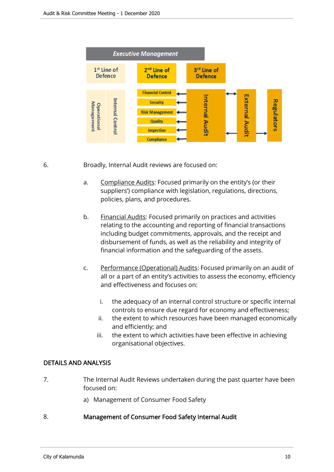

6. Broadly, Internal Audit reviews are focused on:

- a. Compliance Audits: Focused primarily on the entity's (or their suppliers') compliance with legislation, regulations, directions, policies, plans, and procedures.
- b. Financial Audits: Focused primarily on practices and activities relating to the accounting and reporting of financial transactions including budget commitments, approvals, and the receipt and disbursement of funds, as well as the reliability and integrity of financial information and the safeguarding of the assets.
- c. Performance (Operational) Audits: Focused primarily on an audit of all or a part of an entity's activities to assess the economy, efficiency and effectiveness and focuses on:
	- i. the adequacy of an internal control structure or specific internal controls to ensure due regard for economy and effectiveness;
	- ii. the extent to which resources have been managed economically and efficiently; and
	- iii. the extent to which activities have been effective in achieving organisational objectives.

#### DETAILS AND ANALYSIS

- 7. The Internal Audit Reviews undertaken during the past quarter have been focused on:
	- a) Management of Consumer Food Safety

#### 8. Management of Consumer Food Safety Internal Audit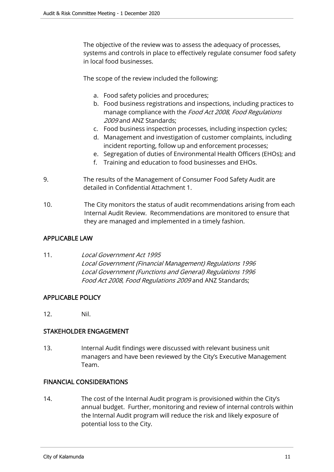The objective of the review was to assess the adequacy of processes, systems and controls in place to effectively regulate consumer food safety in local food businesses.

The scope of the review included the following:

- a. Food safety policies and procedures;
- b. Food business registrations and inspections, including practices to manage compliance with the Food Act 2008, Food Regulations 2009 and ANZ Standards;
- c. Food business inspection processes, including inspection cycles;
- d. Management and investigation of customer complaints, including incident reporting, follow up and enforcement processes;
- e. Segregation of duties of Environmental Health Officers (EHOs); and
- f. Training and education to food businesses and EHOs.
- 9. The results of the Management of Consumer Food Safety Audit are detailed in Confidential Attachment 1.
- 10. The City monitors the status of audit recommendations arising from each Internal Audit Review. Recommendations are monitored to ensure that they are managed and implemented in a timely fashion.

#### APPLICABLE LAW

#### 11. Local Government Act 1995 Local Government (Financial Management) Regulations 1996 Local Government (Functions and General) Regulations 1996 Food Act 2008, Food Regulations 2009 and ANZ Standards;

#### APPLICABLE POLICY

12. Nil.

#### STAKEHOLDER ENGAGEMENT

13. Internal Audit findings were discussed with relevant business unit managers and have been reviewed by the City's Executive Management Team.

#### FINANCIAL CONSIDERATIONS

14. The cost of the Internal Audit program is provisioned within the City's annual budget. Further, monitoring and review of internal controls within the Internal Audit program will reduce the risk and likely exposure of potential loss to the City.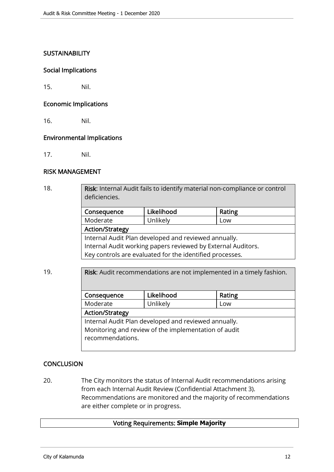#### **SUSTAINABILITY**

#### Social Implications

15. Nil.

#### Economic Implications

16. Nil.

#### Environmental Implications

17. Nil.

#### RISK MANAGEMENT

| 18. | Risk: Internal Audit fails to identify material non-compliance or control<br>deficiencies. |            |        |  |  |
|-----|--------------------------------------------------------------------------------------------|------------|--------|--|--|
|     | Consequence                                                                                | Likelihood | Rating |  |  |
|     | Moderate                                                                                   | Unlikely   | Low    |  |  |
|     | <b>Action/Strategy</b>                                                                     |            |        |  |  |
|     | Internal Audit Plan developed and reviewed annually.                                       |            |        |  |  |
|     | Internal Audit working papers reviewed by External Auditors.                               |            |        |  |  |
|     | Key controls are evaluated for the identified processes.                                   |            |        |  |  |
|     |                                                                                            |            |        |  |  |

## 19. **Risk:** Audit recommendations are not implemented in a timely fashion.

| Consequence                                          | Likelihood | Rating |  |
|------------------------------------------------------|------------|--------|--|
| Moderate                                             | Unlikely   | Low    |  |
| <b>Action/Strategy</b>                               |            |        |  |
| Internal Audit Plan developed and reviewed annually. |            |        |  |
| Monitoring and review of the implementation of audit |            |        |  |
| recommendations.                                     |            |        |  |
|                                                      |            |        |  |

#### **CONCLUSION**

20. The City monitors the status of Internal Audit recommendations arising from each Internal Audit Review (Confidential Attachment 3). Recommendations are monitored and the majority of recommendations are either complete or in progress.

#### Voting Requirements: **Simple Majority**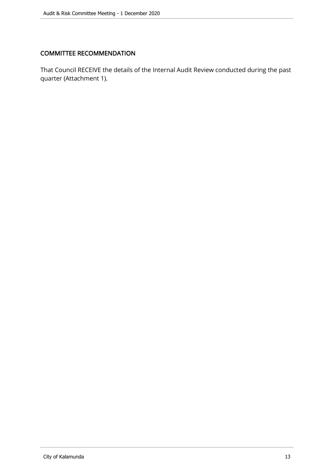#### COMMITTEE RECOMMENDATION

That Council RECEIVE the details of the Internal Audit Review conducted during the past quarter (Attachment 1).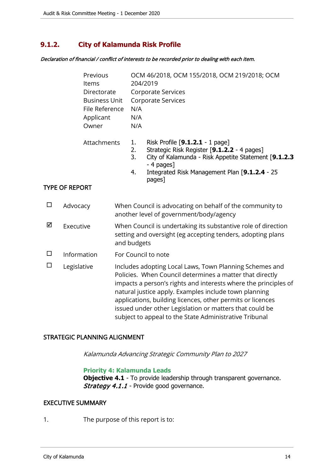#### <span id="page-13-0"></span>**9.1.2. City of Kalamunda Risk Profile**

Declaration of financial / conflict of interests to be recorded prior to dealing with each item.

| Previous<br>Items<br>Directorate<br><b>Business Unit</b><br>File Reference<br>Applicant<br>Owner<br>Attachments |                            | N/A<br>N/A<br>N/A | OCM 46/2018, OCM 155/2018, OCM 219/2018; OCM<br>204/2019<br><b>Corporate Services</b><br><b>Corporate Services</b> |                                                                                                                                                                                                                                                                                                                                                                                                                                    |                                                                                                                              |
|-----------------------------------------------------------------------------------------------------------------|----------------------------|-------------------|--------------------------------------------------------------------------------------------------------------------|------------------------------------------------------------------------------------------------------------------------------------------------------------------------------------------------------------------------------------------------------------------------------------------------------------------------------------------------------------------------------------------------------------------------------------|------------------------------------------------------------------------------------------------------------------------------|
|                                                                                                                 |                            |                   | 1.<br>2.<br>3.<br>4.                                                                                               | Risk Profile [9.1.2.1 - 1 page]<br>Strategic Risk Register [9.1.2.2 - 4 pages]<br>City of Kalamunda - Risk Appetite Statement [9.1.2.3<br>- 4 pages]<br>Integrated Risk Management Plan [9.1.2.4 - 25<br>pages]                                                                                                                                                                                                                    |                                                                                                                              |
| <b>TYPE OF REPORT</b>                                                                                           |                            |                   |                                                                                                                    |                                                                                                                                                                                                                                                                                                                                                                                                                                    |                                                                                                                              |
| $\Box$                                                                                                          | Advocacy                   |                   |                                                                                                                    |                                                                                                                                                                                                                                                                                                                                                                                                                                    | When Council is advocating on behalf of the community to<br>another level of government/body/agency                          |
| ☑                                                                                                               | Executive                  |                   | and budgets                                                                                                        |                                                                                                                                                                                                                                                                                                                                                                                                                                    | When Council is undertaking its substantive role of direction<br>setting and oversight (eg accepting tenders, adopting plans |
| $\Box$                                                                                                          | Information<br>Legislative |                   |                                                                                                                    |                                                                                                                                                                                                                                                                                                                                                                                                                                    | For Council to note                                                                                                          |
| $\Box$                                                                                                          |                            |                   |                                                                                                                    | Includes adopting Local Laws, Town Planning Schemes and<br>Policies. When Council determines a matter that directly<br>impacts a person's rights and interests where the principles of<br>natural justice apply. Examples include town planning<br>applications, building licences, other permits or licences<br>issued under other Legislation or matters that could be<br>subject to appeal to the State Administrative Tribunal |                                                                                                                              |

#### STRATEGIC PLANNING ALIGNMENT

Kalamunda Advancing Strategic Community Plan to 2027

#### **Priority 4: Kalamunda Leads**

**Objective 4.1** - To provide leadership through transparent governance. Strategy 4.1.1 - Provide good governance.

#### EXECUTIVE SUMMARY

1. The purpose of this report is to: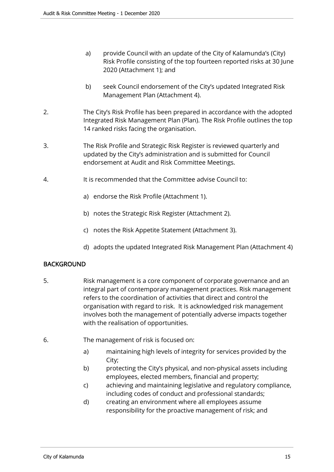- a) provide Council with an update of the City of Kalamunda's (City) Risk Profile consisting of the top fourteen reported risks at 30 June 2020 (Attachment 1); and
- b) seek Council endorsement of the City's updated Integrated Risk Management Plan (Attachment 4).
- 2. The City's Risk Profile has been prepared in accordance with the adopted Integrated Risk Management Plan (Plan). The Risk Profile outlines the top 14 ranked risks facing the organisation.
- 3. The Risk Profile and Strategic Risk Register is reviewed quarterly and updated by the City's administration and is submitted for Council endorsement at Audit and Risk Committee Meetings.
- 4. It is recommended that the Committee advise Council to:
	- a) endorse the Risk Profile (Attachment 1).
	- b) notes the Strategic Risk Register (Attachment 2).
	- c) notes the Risk Appetite Statement (Attachment 3).
	- d) adopts the updated Integrated Risk Management Plan (Attachment 4)

#### BACKGROUND

- 5. Risk management is a core component of corporate governance and an integral part of contemporary management practices. Risk management refers to the coordination of activities that direct and control the organisation with regard to risk. It is acknowledged risk management involves both the management of potentially adverse impacts together with the realisation of opportunities.
- 6. The management of risk is focused on:
	- a) maintaining high levels of integrity for services provided by the City;
	- b) protecting the City's physical, and non-physical assets including employees, elected members, financial and property;
	- c) achieving and maintaining legislative and regulatory compliance, including codes of conduct and professional standards;
	- d) creating an environment where all employees assume responsibility for the proactive management of risk; and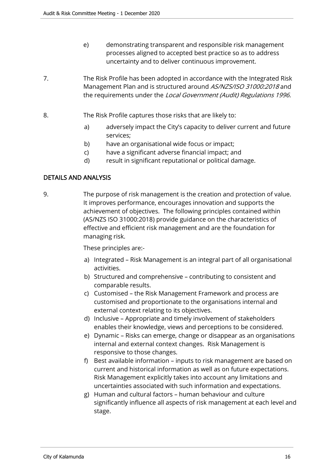- e) demonstrating transparent and responsible risk management processes aligned to accepted best practice so as to address uncertainty and to deliver continuous improvement.
- 7. The Risk Profile has been adopted in accordance with the Integrated Risk Management Plan and is structured around AS/NZS/ISO 31000:2018 and the requirements under the Local Government (Audit) Regulations 1996.
- 8. The Risk Profile captures those risks that are likely to:
	- a) adversely impact the City's capacity to deliver current and future services;
	- b) have an organisational wide focus or impact;
	- c) have a significant adverse financial impact; and
	- d) result in significant reputational or political damage.

#### DETAILS AND ANALYSIS

9. The purpose of risk management is the creation and protection of value. It improves performance, encourages innovation and supports the achievement of objectives. The following principles contained within (AS/NZS ISO 31000:2018) provide guidance on the characteristics of effective and efficient risk management and are the foundation for managing risk.

These principles are:-

- a) Integrated Risk Management is an integral part of all organisational activities.
- b) Structured and comprehensive contributing to consistent and comparable results.
- c) Customised the Risk Management Framework and process are customised and proportionate to the organisations internal and external context relating to its objectives.
- d) Inclusive Appropriate and timely involvement of stakeholders enables their knowledge, views and perceptions to be considered.
- e) Dynamic Risks can emerge, change or disappear as an organisations internal and external context changes. Risk Management is responsive to those changes.
- f) Best available information inputs to risk management are based on current and historical information as well as on future expectations. Risk Management explicitly takes into account any limitations and uncertainties associated with such information and expectations.
- g) Human and cultural factors human behaviour and culture significantly influence all aspects of risk management at each level and stage.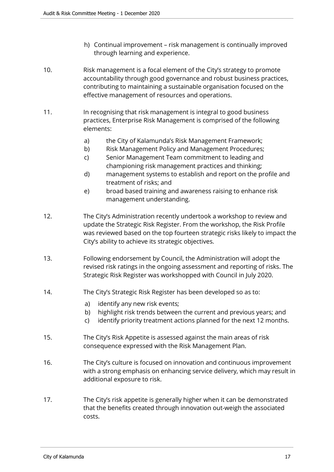- h) Continual improvement risk management is continually improved through learning and experience.
- 10. Risk management is a focal element of the City's strategy to promote accountability through good governance and robust business practices, contributing to maintaining a sustainable organisation focused on the effective management of resources and operations.
- 11. In recognising that risk management is integral to good business practices, Enterprise Risk Management is comprised of the following elements:
	- a) the City of Kalamunda's Risk Management Framework;
	- b) Risk Management Policy and Management Procedures;
	- c) Senior Management Team commitment to leading and championing risk management practices and thinking;
	- d) management systems to establish and report on the profile and treatment of risks; and
	- e) broad based training and awareness raising to enhance risk management understanding.
- 12. The City's Administration recently undertook a workshop to review and update the Strategic Risk Register. From the workshop, the Risk Profile was reviewed based on the top fourteen strategic risks likely to impact the City's ability to achieve its strategic objectives.
- 13. Following endorsement by Council, the Administration will adopt the revised risk ratings in the ongoing assessment and reporting of risks. The Strategic Risk Register was workshopped with Council in July 2020.
- 14. The City's Strategic Risk Register has been developed so as to:
	- a) identify any new risk events;
	- b) highlight risk trends between the current and previous years; and
	- c) identify priority treatment actions planned for the next 12 months.
- 15. The City's Risk Appetite is assessed against the main areas of risk consequence expressed with the Risk Management Plan.
- 16. The City's culture is focused on innovation and continuous improvement with a strong emphasis on enhancing service delivery, which may result in additional exposure to risk.
- 17. The City's risk appetite is generally higher when it can be demonstrated that the benefits created through innovation out-weigh the associated costs.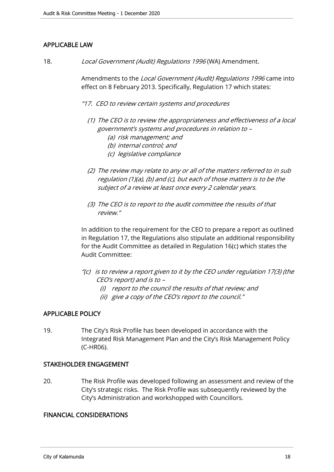#### APPLICABLE LAW

18. Local Government (Audit) Regulations 1996 (WA) Amendment.

Amendments to the Local Government (Audit) Regulations 1996 came into effect on 8 February 2013. Specifically, Regulation 17 which states:

- "17. CEO to review certain systems and procedures
	- (1) The CEO is to review the appropriateness and effectiveness of a local government's systems and procedures in relation to –
		- (a) risk management; and
		- (b) internal control; and
		- (c) legislative compliance
	- (2) The review may relate to any or all of the matters referred to in sub regulation (1)(a), (b) and (c), but each of those matters is to be the subject of a review at least once every 2 calendar years.
	- (3) The CEO is to report to the audit committee the results of that review."

In addition to the requirement for the CEO to prepare a report as outlined in Regulation 17, the Regulations also stipulate an additional responsibility for the Audit Committee as detailed in Regulation 16(c) which states the Audit Committee:

- "(c) is to review a report given to it by the CEO under regulation 17(3) (the CEO's report) and is to –
	- (i) report to the council the results of that review; and
	- (ii) give a copy of the CEO's report to the council."

#### APPLICABLE POLICY

19. The City's Risk Profile has been developed in accordance with the Integrated Risk Management Plan and the City's Risk Management Policy (C-HR06).

#### STAKEHOLDER ENGAGEMENT

20. The Risk Profile was developed following an assessment and review of the City's strategic risks. The Risk Profile was subsequently reviewed by the City's Administration and workshopped with Councillors.

#### FINANCIAL CONSIDERATIONS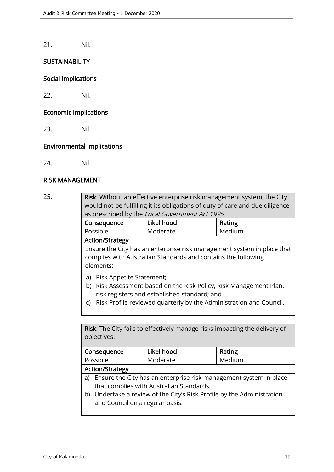21. Nil.

#### **SUSTAINABILITY**

#### Social Implications

22. Nil.

#### Economic Implications

23. Nil.

#### Environmental Implications

24. Nil.

#### RISK MANAGEMENT

| 25. | Risk: Without an effective enterprise risk management system, the City<br>would not be fulfilling it its obligations of duty of care and due diligence<br>as prescribed by the Local Government Act 1995.                     |            |        |  |  |  |
|-----|-------------------------------------------------------------------------------------------------------------------------------------------------------------------------------------------------------------------------------|------------|--------|--|--|--|
|     | Consequence                                                                                                                                                                                                                   | Likelihood | Rating |  |  |  |
|     | Possible                                                                                                                                                                                                                      | Moderate   | Medium |  |  |  |
|     | <b>Action/Strategy</b>                                                                                                                                                                                                        |            |        |  |  |  |
|     | Ensure the City has an enterprise risk management system in place that<br>complies with Australian Standards and contains the following<br>elements:                                                                          |            |        |  |  |  |
|     | Risk Appetite Statement;<br>a)<br>b) Risk Assessment based on the Risk Policy, Risk Management Plan,<br>risk registers and established standard; and<br>c) Risk Profile reviewed quarterly by the Administration and Council. |            |        |  |  |  |

Risk: The City fails to effectively manage risks impacting the delivery of objectives.

| Consequence     | Likelihood | Rating |  |
|-----------------|------------|--------|--|
| Possible        | Moderate   | Medium |  |
| Action/Strategy |            |        |  |

#### Action/Strategy

- a) Ensure the City has an enterprise risk management system in place that complies with Australian Standards.
- b) Undertake a review of the City's Risk Profile by the Administration and Council on a regular basis.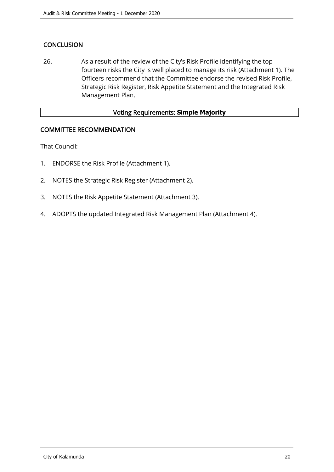#### **CONCLUSION**

26. As a result of the review of the City's Risk Profile identifying the top fourteen risks the City is well placed to manage its risk (Attachment 1). The Officers recommend that the Committee endorse the revised Risk Profile, Strategic Risk Register, Risk Appetite Statement and the Integrated Risk Management Plan.

#### Voting Requirements: **Simple Majority**

#### COMMITTEE RECOMMENDATION

That Council:

- 1. ENDORSE the Risk Profile (Attachment 1).
- 2. NOTES the Strategic Risk Register (Attachment 2).
- 3. NOTES the Risk Appetite Statement (Attachment 3).
- 4. ADOPTS the updated Integrated Risk Management Plan (Attachment 4).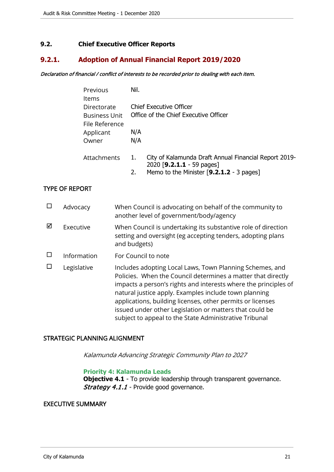#### <span id="page-20-0"></span>**9.2. Chief Executive Officer Reports**

#### **9.2.1. Adoption of Annual Financial Report 2019/2020**

#### Declaration of financial / conflict of interests to be recorded prior to dealing with each item.

| Previous             | Nil. |                                                       |
|----------------------|------|-------------------------------------------------------|
| Items                |      |                                                       |
| Directorate          |      | <b>Chief Executive Officer</b>                        |
| <b>Business Unit</b> |      | Office of the Chief Executive Officer                 |
| File Reference       |      |                                                       |
| Applicant            | N/A  |                                                       |
| Owner                | N/A  |                                                       |
|                      |      |                                                       |
| Attachments          | 1.   | City of Kalamunda Draft Annual Financial Report 2019- |
|                      |      | 2020 [9.2.1.1 - 59 pages]                             |
|                      | 2.   | Memo to the Minister [9.2.1.2 - 3 pages]              |

#### TYPE OF REPORT

|   | Advocacy    | When Council is advocating on behalf of the community to<br>another level of government/body/agency                                                                                                                                                                                                                                                                                                                                     |
|---|-------------|-----------------------------------------------------------------------------------------------------------------------------------------------------------------------------------------------------------------------------------------------------------------------------------------------------------------------------------------------------------------------------------------------------------------------------------------|
| ⊠ | Executive   | When Council is undertaking its substantive role of direction<br>setting and oversight (eg accepting tenders, adopting plans<br>and budgets)                                                                                                                                                                                                                                                                                            |
|   | Information | For Council to note                                                                                                                                                                                                                                                                                                                                                                                                                     |
|   | Legislative | Includes adopting Local Laws, Town Planning Schemes, and<br>Policies. When the Council determines a matter that directly<br>impacts a person's rights and interests where the principles of<br>natural justice apply. Examples include town planning<br>applications, building licenses, other permits or licenses<br>issued under other Legislation or matters that could be<br>subject to appeal to the State Administrative Tribunal |

#### STRATEGIC PLANNING ALIGNMENT

Kalamunda Advancing Strategic Community Plan to 2027

#### **Priority 4: Kalamunda Leads**

**Objective 4.1** - To provide leadership through transparent governance. Strategy 4.1.1 - Provide good governance.

#### EXECUTIVE SUMMARY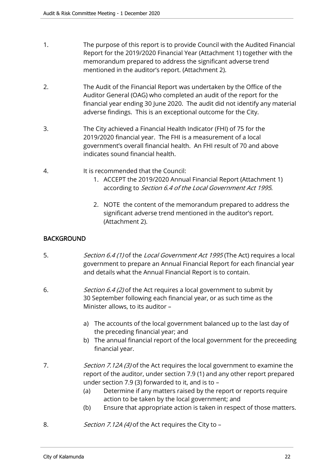- 1. The purpose of this report is to provide Council with the Audited Financial Report for the 2019/2020 Financial Year (Attachment 1) together with the memorandum prepared to address the significant adverse trend mentioned in the auditor's report. (Attachment 2).
- 2. The Audit of the Financial Report was undertaken by the Office of the Auditor General (OAG) who completed an audit of the report for the financial year ending 30 June 2020. The audit did not identify any material adverse findings. This is an exceptional outcome for the City.
- 3. The City achieved a Financial Health Indicator (FHI) of 75 for the 2019/2020 financial year. The FHI is a measurement of a local government's overall financial health. An FHI result of 70 and above indicates sound financial health.
- 4. It is recommended that the Council:
	- 1. ACCEPT the 2019/2020 Annual Financial Report (Attachment 1) according to Section 6.4 of the Local Government Act 1995.
	- 2. NOTE the content of the memorandum prepared to address the significant adverse trend mentioned in the auditor's report. (Attachment 2).

#### **BACKGROUND**

- 5. Section 6.4 (1) of the Local Government Act 1995 (The Act) requires a local government to prepare an Annual Financial Report for each financial year and details what the Annual Financial Report is to contain.
- 6. *Section 6.4 (2)* of the Act requires a local government to submit by 30 September following each financial year, or as such time as the Minister allows, to its auditor –
	- a) The accounts of the local government balanced up to the last day of the preceding financial year; and
	- b) The annual financial report of the local government for the preceeding financial year.
- 7. Section 7.12A (3) of the Act requires the local government to examine the report of the auditor, under section 7.9 (1) and any other report prepared under section 7.9 (3) forwarded to it, and is to –
	- (a) Determine if any matters raised by the report or reports require action to be taken by the local government; and
	- (b) Ensure that appropriate action is taken in respect of those matters.
- 8. *Section 7.12A (4)* of the Act requires the City to –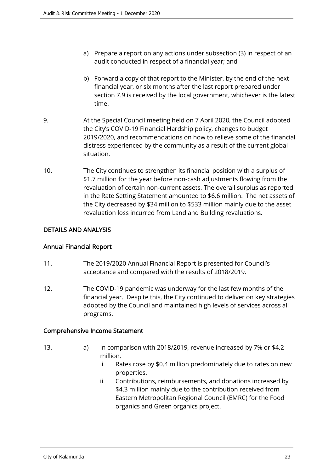- a) Prepare a report on any actions under subsection (3) in respect of an audit conducted in respect of a financial year; and
- b) Forward a copy of that report to the Minister, by the end of the next financial year, or six months after the last report prepared under section 7.9 is received by the local government, whichever is the latest time.
- 9. At the Special Council meeting held on 7 April 2020, the Council adopted the City's COVID-19 Financial Hardship policy, changes to budget 2019/2020, and recommendations on how to relieve some of the financial distress experienced by the community as a result of the current global situation.
- 10. The City continues to strengthen its financial position with a surplus of \$1.7 million for the year before non-cash adjustments flowing from the revaluation of certain non-current assets. The overall surplus as reported in the Rate Setting Statement amounted to \$6.6 million. The net assets of the City decreased by \$34 million to \$533 million mainly due to the asset revaluation loss incurred from Land and Building revaluations.

#### DETAILS AND ANALYSIS

#### Annual Financial Report

- 11. The 2019/2020 Annual Financial Report is presented for Council's acceptance and compared with the results of 2018/2019.
- 12. The COVID-19 pandemic was underway for the last few months of the financial year. Despite this, the City continued to deliver on key strategies adopted by the Council and maintained high levels of services across all programs.

#### Comprehensive Income Statement

- 
- 13. a) In comparison with 2018/2019, revenue increased by 7% or \$4.2 million.
	- i. Rates rose by \$0.4 million predominately due to rates on new properties.
	- ii. Contributions, reimbursements, and donations increased by \$4.3 million mainly due to the contribution received from Eastern Metropolitan Regional Council (EMRC) for the Food organics and Green organics project.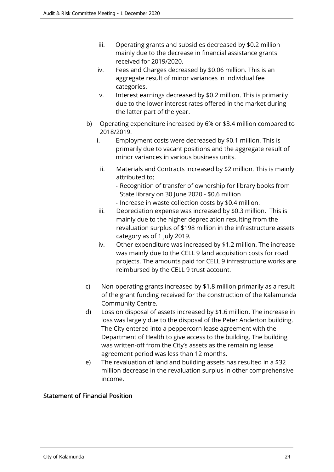- iii. Operating grants and subsidies decreased by \$0.2 million mainly due to the decrease in financial assistance grants received for 2019/2020.
- iv. Fees and Charges decreased by \$0.06 million. This is an aggregate result of minor variances in individual fee categories.
- v. Interest earnings decreased by \$0.2 million. This is primarily due to the lower interest rates offered in the market during the latter part of the year.
- b) Operating expenditure increased by 6% or \$3.4 million compared to 2018/2019.
	- i. Employment costs were decreased by \$0.1 million. This is primarily due to vacant positions and the aggregate result of minor variances in various business units.
	- ii. Materials and Contracts increased by \$2 million. This is mainly attributed to;
		- Recognition of transfer of ownership for library books from State library on 30 June 2020 - \$0.6 million
		- Increase in waste collection costs by \$0.4 million.
	- iii. Depreciation expense was increased by \$0.3 million. This is mainly due to the higher depreciation resulting from the revaluation surplus of \$198 million in the infrastructure assets category as of 1 July 2019.
	- iv. Other expenditure was increased by \$1.2 million. The increase was mainly due to the CELL 9 land acquisition costs for road projects. The amounts paid for CELL 9 infrastructure works are reimbursed by the CELL 9 trust account.
- c) Non-operating grants increased by \$1.8 million primarily as a result of the grant funding received for the construction of the Kalamunda Community Centre.
- d) Loss on disposal of assets increased by \$1.6 million. The increase in loss was largely due to the disposal of the Peter Anderton building. The City entered into a peppercorn lease agreement with the Department of Health to give access to the building. The building was written-off from the City's assets as the remaining lease agreement period was less than 12 months.
- e) The revaluation of land and building assets has resulted in a \$32 million decrease in the revaluation surplus in other comprehensive income.

#### Statement of Financial Position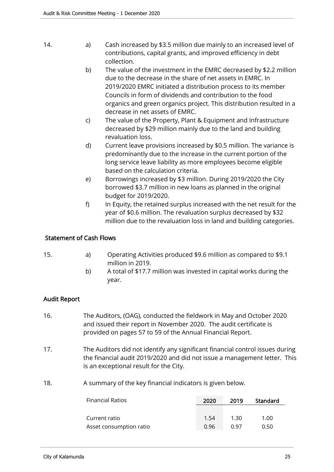- 14. **a**) Cash increased by \$3.5 million due mainly to an increased level of contributions, capital grants, and improved efficiency in debt collection.
	- b) The value of the investment in the EMRC decreased by \$2.2 million due to the decrease in the share of net assets in EMRC. In 2019/2020 EMRC initiated a distribution process to its member Councils in form of dividends and contribution to the food organics and green organics project. This distribution resulted in a decrease in net assets of EMRC.
	- c) The value of the Property, Plant & Equipment and Infrastructure decreased by \$29 million mainly due to the land and building revaluation loss.
	- d) Current leave provisions increased by \$0.5 million. The variance is predominantly due to the increase in the current portion of the long service leave liability as more employees become eligible based on the calculation criteria.
	- e) Borrowings increased by \$3 million. During 2019/2020 the City borrowed \$3.7 million in new loans as planned in the original budget for 2019/2020.
	- f) In Equity, the retained surplus increased with the net result for the year of \$0.6 million. The revaluation surplus decreased by \$32 million due to the revaluation loss in land and building categories.

#### Statement of Cash Flows

- 15. a) Operating Activities produced \$9.6 million as compared to \$9.1 million in 2019.
	- b) A total of \$17.7 million was invested in capital works during the year.

#### Audit Report

- 16. The Auditors, (OAG), conducted the fieldwork in May and October 2020 and issued their report in November 2020. The audit certificate is provided on pages 57 to 59 of the Annual Financial Report.
- 17. The Auditors did not identify any significant financial control issues during the financial audit 2019/2020 and did not issue a management letter. This is an exceptional result for the City.
- 18. A summary of the key financial indicators is given below.

| <b>Financial Ratios</b> | 2020 | 2019        | Standard |
|-------------------------|------|-------------|----------|
|                         |      |             |          |
| Current ratio           | 1.54 | ี่ 1.30     | 1.00     |
| Asset consumption ratio | 0.96 | <u>በ 97</u> | 0.50     |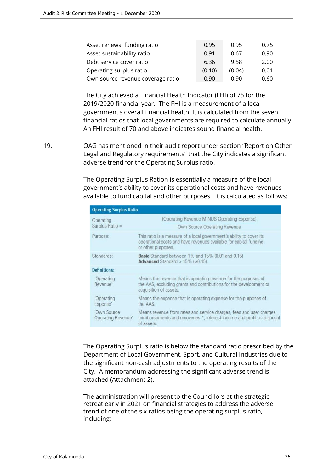| Asset renewal funding ratio       | 0.95   | 0.95   | 0.75 |
|-----------------------------------|--------|--------|------|
| Asset sustainability ratio        | 0.91   | 0.67   | 0.90 |
| Debt service cover ratio          | 6.36   | 9.58   | 2.00 |
| Operating surplus ratio           | (0.10) | (0.04) | 0.01 |
| Own source revenue coverage ratio | 0.90   | 0.90   | 0.60 |

The City achieved a Financial Health Indicator (FHI) of 75 for the 2019/2020 financial year. The FHI is a measurement of a local government's overall financial health. It is calculated from the seven financial ratios that local governments are required to calculate annually. An FHI result of 70 and above indicates sound financial health.

19. OAG has mentioned in their audit report under section "Report on Other Legal and Regulatory requirements" that the City indicates a significant adverse trend for the Operating Surplus ratio.

> The Operating Surplus Ration is essentially a measure of the local government's ability to cover its operational costs and have revenues available to fund capital and other purposes. It is calculated as follows:

| <b>Operating Surplus Ratio</b> |                                   |                                                                                                                                                                 |  |  |
|--------------------------------|-----------------------------------|-----------------------------------------------------------------------------------------------------------------------------------------------------------------|--|--|
|                                | Operating<br>Surplus Ratio =      | (Operating Revenue MINUS Operating Expense)<br>Own Source Operating Revenue                                                                                     |  |  |
|                                | Purpose:                          | This ratio is a measure of a local government's ability to cover its<br>operational costs and have revenues available for capital funding<br>or other purposes. |  |  |
|                                | Standards:                        | <b>Basic</b> Standard between 1% and 15% (0.01 and 0.15)<br>Advanced Standard $> 15\%$ ( $> 0.15$ ).                                                            |  |  |
| <b>Definitions:</b>            |                                   |                                                                                                                                                                 |  |  |
|                                | 'Operating<br>Revenue'            | Means the revenue that is operating revenue for the purposes of<br>the AAS, excluding grants and contributions for the development or<br>acquisition of assets. |  |  |
|                                | 'Operating<br>Expense'            | Means the expense that is operating expense for the purposes of<br>the AAS.                                                                                     |  |  |
|                                | 'Own Source<br>Operating Revenue' | Means revenue from rates and service charges, fees and user charges,<br>reimbursements and recoveries *, interest income and profit on disposal<br>of assets.   |  |  |

The Operating Surplus ratio is below the standard ratio prescribed by the Department of Local Government, Sport, and Cultural Industries due to the significant non-cash adjustments to the operating results of the City. A memorandum addressing the significant adverse trend is attached (Attachment 2).

The administration will present to the Councillors at the strategic retreat early in 2021 on financial strategies to address the adverse trend of one of the six ratios being the operating surplus ratio, including: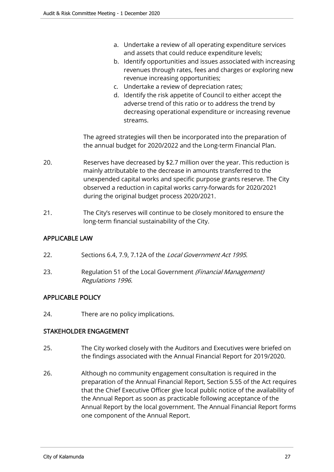- a. Undertake a review of all operating expenditure services and assets that could reduce expenditure levels;
- b. Identify opportunities and issues associated with increasing revenues through rates, fees and charges or exploring new revenue increasing opportunities;
- c. Undertake a review of depreciation rates;
- d. Identify the risk appetite of Council to either accept the adverse trend of this ratio or to address the trend by decreasing operational expenditure or increasing revenue streams.

The agreed strategies will then be incorporated into the preparation of the annual budget for 2020/2022 and the Long-term Financial Plan.

- 20. Reserves have decreased by \$2.7 million over the year. This reduction is mainly attributable to the decrease in amounts transferred to the unexpended capital works and specific purpose grants reserve. The City observed a reduction in capital works carry-forwards for 2020/2021 during the original budget process 2020/2021.
- 21. The City's reserves will continue to be closely monitored to ensure the long-term financial sustainability of the City.

#### APPLICABLE LAW

- 22. Sections 6.4, 7.9, 7.12A of the Local Government Act 1995.
- 23. Regulation 51 of the Local Government (Financial Management) Regulations 1996.

#### APPLICABLE POLICY

24. There are no policy implications.

#### STAKEHOLDER ENGAGEMENT

- 25. The City worked closely with the Auditors and Executives were briefed on the findings associated with the Annual Financial Report for 2019/2020.
- 26. Although no community engagement consultation is required in the preparation of the Annual Financial Report, Section 5.55 of the Act requires that the Chief Executive Officer give local public notice of the availability of the Annual Report as soon as practicable following acceptance of the Annual Report by the local government. The Annual Financial Report forms one component of the Annual Report.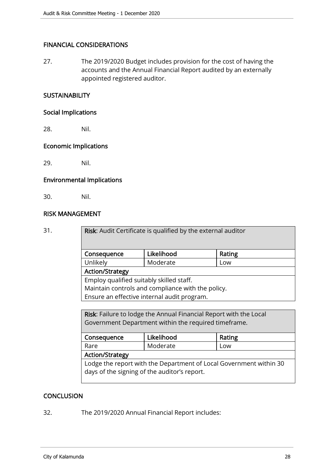#### FINANCIAL CONSIDERATIONS

27. The 2019/2020 Budget includes provision for the cost of having the accounts and the Annual Financial Report audited by an externally appointed registered auditor.

#### **SUSTAINABILITY**

#### Social Implications

28. Nil.

#### Economic Implications

29. Nil.

#### Environmental Implications

30. Nil.

#### RISK MANAGEMENT

31. Risk: Audit Certificate is qualified by the external auditor

| Consequence         | Likelihood | Rating |
|---------------------|------------|--------|
| Unlikely            | Moderate   | Low    |
| L. Action /Ctratom/ |            |        |

Action/Strategy

Employ qualified suitably skilled staff. Maintain controls and compliance with the policy. Ensure an effective internal audit program.

Risk: Failure to lodge the Annual Financial Report with the Local Government Department within the required timeframe.

| Consequence                                                        | Likelihood | Rating |  |  |
|--------------------------------------------------------------------|------------|--------|--|--|
|                                                                    |            |        |  |  |
| Rare                                                               | Moderate   | Low    |  |  |
| Action/Strategy                                                    |            |        |  |  |
| Lodge the report with the Department of Local Government within 30 |            |        |  |  |
| days of the signing of the auditor's report.                       |            |        |  |  |
|                                                                    |            |        |  |  |

#### **CONCLUSION**

32. The 2019/2020 Annual Financial Report includes: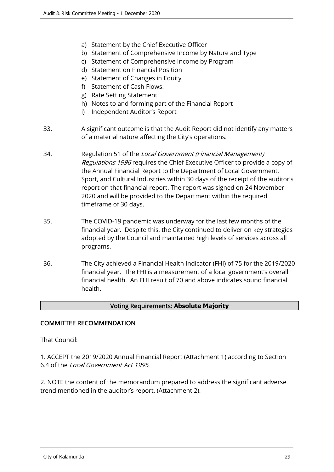- a) Statement by the Chief Executive Officer
- b) Statement of Comprehensive Income by Nature and Type
- c) Statement of Comprehensive Income by Program
- d) Statement on Financial Position
- e) Statement of Changes in Equity
- f) Statement of Cash Flows.
- g) Rate Setting Statement
- h) Notes to and forming part of the Financial Report
- i) Independent Auditor's Report
- 33. A significant outcome is that the Audit Report did not identify any matters of a material nature affecting the City's operations.
- 34. Regulation 51 of the Local Government (Financial Management) Regulations 1996 requires the Chief Executive Officer to provide a copy of the Annual Financial Report to the Department of Local Government, Sport, and Cultural Industries within 30 days of the receipt of the auditor's report on that financial report. The report was signed on 24 November 2020 and will be provided to the Department within the required timeframe of 30 days.
- 35. The COVID-19 pandemic was underway for the last few months of the financial year. Despite this, the City continued to deliver on key strategies adopted by the Council and maintained high levels of services across all programs.
- 36. The City achieved a Financial Health Indicator (FHI) of 75 for the 2019/2020 financial year. The FHI is a measurement of a local government's overall financial health. An FHI result of 70 and above indicates sound financial health.

#### Voting Requirements: **Absolute Majority**

#### COMMITTEE RECOMMENDATION

That Council:

1. ACCEPT the 2019/2020 Annual Financial Report (Attachment 1) according to Section 6.4 of the Local Government Act 1995.

2. NOTE the content of the memorandum prepared to address the significant adverse trend mentioned in the auditor's report. (Attachment 2).